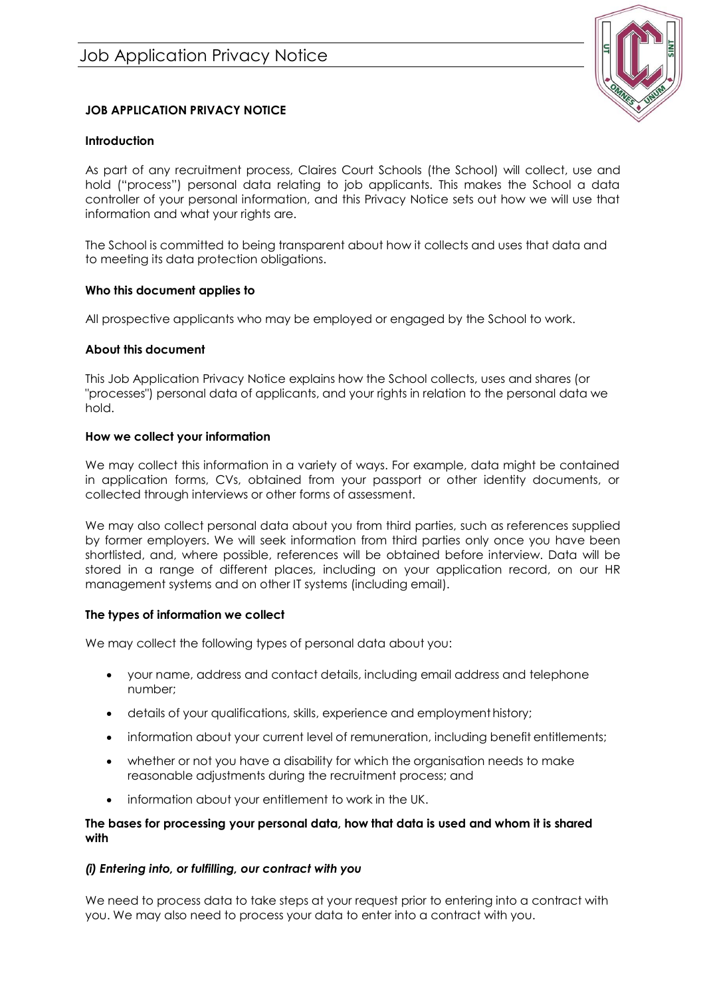

# **JOB APPLICATION PRIVACY NOTICE**

# **Introduction**

As part of any recruitment process, Claires Court Schools (the School) will collect, use and hold ("process") personal data relating to job applicants. This makes the School a data controller of your personal information, and this Privacy Notice sets out how we will use that information and what your rights are.

The School is committed to being transparent about how it collects and uses that data and to meeting its data protection obligations.

# **Who this document applies to**

All prospective applicants who may be employed or engaged by the School to work.

# **About this document**

This Job Application Privacy Notice explains how the School collects, uses and shares (or "processes") personal data of applicants, and your rights in relation to the personal data we hold.

# **How we collect your information**

We may collect this information in a variety of ways. For example, data might be contained in application forms, CVs, obtained from your passport or other identity documents, or collected through interviews or other forms of assessment.

We may also collect personal data about you from third parties, such as references supplied by former employers. We will seek information from third parties only once you have been shortlisted, and, where possible, references will be obtained before interview. Data will be stored in a range of different places, including on your application record, on our HR management systems and on other IT systems (including email).

# **The types of information we collect**

We may collect the following types of personal data about you:

- your name, address and contact details, including email address and telephone number;
- details of your qualifications, skills, experience and employment history;
- information about your current level of remuneration, including benefit entitlements;
- whether or not you have a disability for which the organisation needs to make reasonable adjustments during the recruitment process; and
- information about your entitlement to work in the UK.

### **The bases for processing your personal data, how that data is used and whom it is shared with**

# *(i) Entering into, or fulfilling, our contract with you*

We need to process data to take steps at your request prior to entering into a contract with you. We may also need to process your data to enter into a contract with you.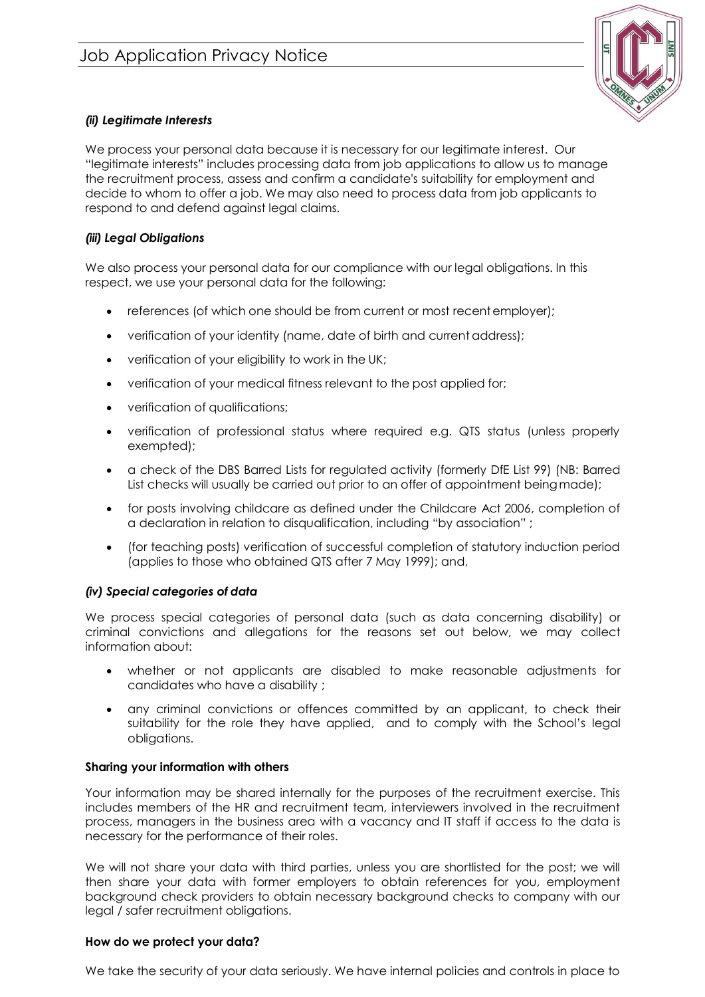

# *(ii) Legitimate Interests*

We process your personal data because it is necessary for our legitimate interest. Our "legitimate interests" includes processing data from job applications to allow us to manage the recruitment process, assess and confirm a candidate's suitability for employment and decide to whom to offer a job. We may also need to process data from job applicants to respond to and defend against legal claims.

# *(iii) Legal Obligations*

We also process your personal data for our compliance with our legal obligations. In this respect, we use your personal data for the following:

- references (of which one should be from current or most recentemployer);
- verification of your identity (name, date of birth and current address);
- verification of your eligibility to work in the UK;
- verification of your medical fitness relevant to the post applied for;
- verification of qualifications;
- verification of professional status where required e.g. QTS status (unless properly exempted);
- a check of the DBS Barred Lists for regulated activity (formerly DfE List 99) (NB: Barred List checks will usually be carried out prior to an offer of appointment beingmade);
- for posts involving childcare as defined under the Childcare Act 2006, completion of a declaration in relation to disqualification, including "by association" ;
- (for teaching posts) verification of successful completion of statutory induction period (applies to those who obtained QTS after 7 May 1999); and,

# *(iv) Special categories of data*

We process special categories of personal data (such as data concerning disability) or criminal convictions and allegations for the reasons set out below, we may collect information about:

- whether or not applicants are disabled to make reasonable adjustments for candidates who have a disability ;
- any criminal convictions or offences committed by an applicant, to check their suitability for the role they have applied, and to comply with the School's legal obligations.

# **Sharing your information with others**

Your information may be shared internally for the purposes of the recruitment exercise. This includes members of the HR and recruitment team, interviewers involved in the recruitment process, managers in the business area with a vacancy and IT staff if access to the data is necessary for the performance of their roles.

We will not share your data with third parties, unless you are shortlisted for the post; we will then share your data with former employers to obtain references for you, employment background check providers to obtain necessary background checks to company with our legal / safer recruitment obligations.

# **How do we protect your data?**

We take the security of your data seriously. We have internal policies and controls in place to